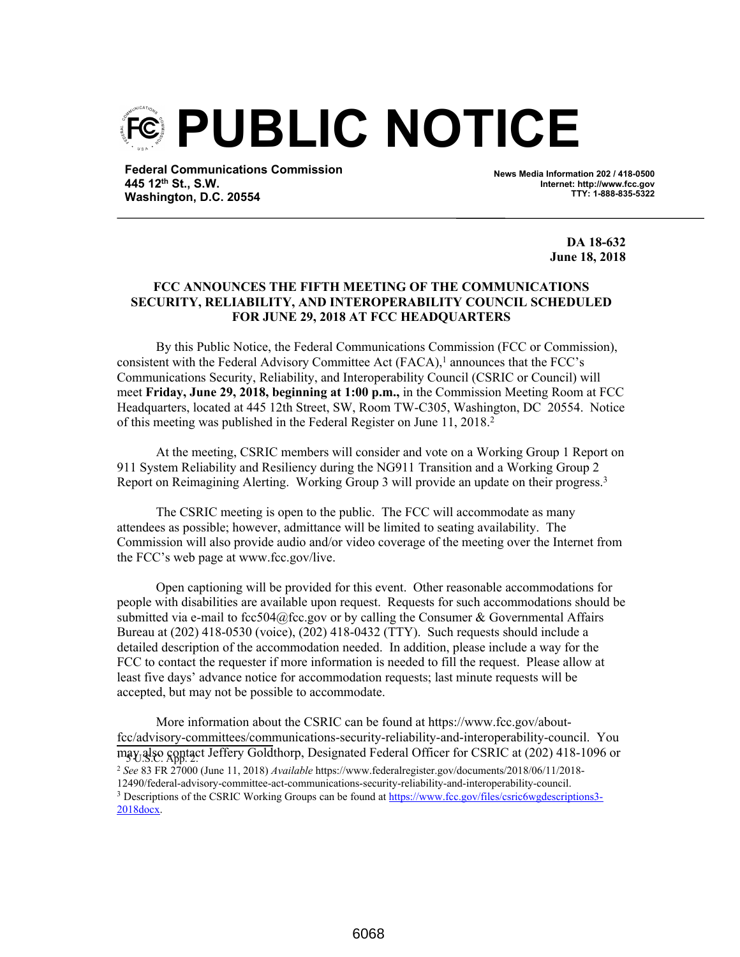

**Federal Communications Commission 445 12th St., S.W. Washington, D.C. 20554**

**News Media Information 202 / 418-0500 Internet: http://www.fcc.gov TTY: 1-888-835-5322**

> **DA 18-632 June 18, 2018**

## **FCC ANNOUNCES THE FIFTH MEETING OF THE COMMUNICATIONS SECURITY, RELIABILITY, AND INTEROPERABILITY COUNCIL SCHEDULED FOR JUNE 29, 2018 AT FCC HEADQUARTERS**

By this Public Notice, the Federal Communications Commission (FCC or Commission), consistent with the Federal Advisory Committee Act  $(FACA)$ ,<sup>1</sup> announces that the FCC's Communications Security, Reliability, and Interoperability Council (CSRIC or Council) will meet **Friday, June 29, 2018, beginning at 1:00 p.m.,** in the Commission Meeting Room at FCC Headquarters, located at 445 12th Street, SW, Room TW-C305, Washington, DC 20554. Notice of this meeting was published in the Federal Register on June 11, 2018.<sup>2</sup>

At the meeting, CSRIC members will consider and vote on a Working Group 1 Report on 911 System Reliability and Resiliency during the NG911 Transition and a Working Group 2 Report on Reimagining Alerting. Working Group 3 will provide an update on their progress.<sup>3</sup>

The CSRIC meeting is open to the public. The FCC will accommodate as many attendees as possible; however, admittance will be limited to seating availability. The Commission will also provide audio and/or video coverage of the meeting over the Internet from the FCC's web page at www.fcc.gov/live.

Open captioning will be provided for this event. Other reasonable accommodations for people with disabilities are available upon request. Requests for such accommodations should be submitted via e-mail to fcc504@fcc.gov or by calling the Consumer & Governmental Affairs Bureau at (202) 418-0530 (voice), (202) 418-0432 (TTY). Such requests should include a detailed description of the accommodation needed. In addition, please include a way for the FCC to contact the requester if more information is needed to fill the request. Please allow at least five days' advance notice for accommodation requests; last minute requests will be accepted, but may not be possible to accommodate.

More information about the CSRIC can be found at https://www.fcc.gov/aboutfcc/advisory-committees/communications-security-reliability-and-interoperability-council. You may also contact Jeffery Goldthorp, Designated Federal Officer for CSRIC at (202) 418-1096 or <sup>2</sup> *See* 83 FR 27000 (June 11, 2018) *Available* https://www.federalregister.gov/documents/2018/06/11/2018- 12490/federal-advisory-committee-act-communications-security-reliability-and-interoperability-council. <sup>3</sup> Descriptions of the CSRIC Working Groups can be found at https://www.fcc.gov/files/csric6wgdescriptions3-2018docx.